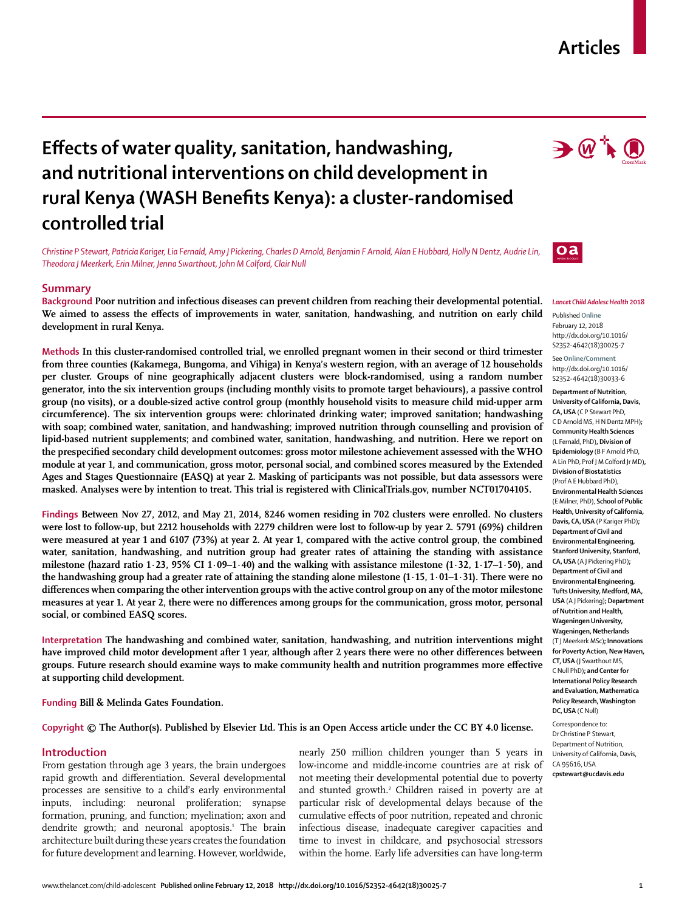## **Articles**

 $\rightarrow$   $\mathbb{Q}$  in  $\bigoplus$ 

# **Effects of water quality, sanitation, handwashing, and nutritional interventions on child development in rural Kenya (WASH Benefits Kenya): a cluster-randomised controlled trial**

*Christine P Stewart, Patricia Kariger, Lia Fernald, Amy J Pickering, Charles D Arnold, Benjamin F Arnold, Alan E Hubbard, Holly N Dentz, Audrie Lin, Theodora J Meerkerk, Erin Milner, Jenna Swarthout, John M Colford, Clair Null*

#### **Summary**

**Background Poor nutrition and infectious diseases can prevent children from reaching their developmental potential.**  We aimed to assess the effects of improvements in water, sanitation, handwashing, and nutrition on early child **development in rural Kenya.**

**Methods In this cluster-randomised controlled trial, we enrolled pregnant women in their second or third trimester from three counties (Kakamega, Bungoma, and Vihiga) in Kenya's western region, with an average of 12 households per cluster. Groups of nine geographically adjacent clusters were block-randomised, using a random number generator, into the six intervention groups (including monthly visits to promote target behaviours), a passive control group (no visits), or a double-sized active control group (monthly household visits to measure child mid-upper arm circumference). The six intervention groups were: chlorinated drinking water; improved sanitation; handwashing with soap; combined water, sanitation, and handwashing; improved nutrition through counselling and provision of lipid-based nutrient supplements; and combined water, sanitation, handwashing, and nutrition. Here we report on the prespecified secondary child development outcomes: gross motor milestone achievement assessed with the WHO module at year 1, and communication, gross motor, personal social, and combined scores measured by the Extended Ages and Stages Questionnaire (EASQ) at year 2. Masking of participants was not possible, but data assessors were masked. Analyses were by intention to treat. This trial is registered with ClinicalTrials.gov, number NCT01704105.**

**Findings Between Nov 27, 2012, and May 21, 2014, 8246 women residing in 702 clusters were enrolled. No clusters were lost to follow-up, but 2212 households with 2279 children were lost to follow-up by year 2. 5791 (69%) children were measured at year 1 and 6107 (73%) at year 2. At year 1, compared with the active control group, the combined water, sanitation, handwashing, and nutrition group had greater rates of attaining the standing with assistance milestone (hazard ratio 1·23, 95% CI 1·09–1·40) and the walking with assistance milestone (1·32, 1·17–1·50), and the handwashing group had a greater rate of attaining the standing alone milestone (1·15, 1·01–1·31). There were no differences when comparing the other intervention groups with the active control group on any of the motor milestone measures at year 1. At year 2, there were no differences among groups for the communication, gross motor, personal social, or combined EASQ scores.**

**Interpretation The handwashing and combined water, sanitation, handwashing, and nutrition interventions might have improved child motor development after 1 year, although after 2 years there were no other differences between groups. Future research should examine ways to make community health and nutrition programmes more effective at supporting child development.** 

**Funding Bill & Melinda Gates Foundation.**

#### **Copyright © The Author(s). Published by Elsevier Ltd. This is an Open Access article under the CC BY 4.0 license.**

## **Introduction**

From gestation through age 3 years, the brain undergoes rapid growth and differentiation. Several developmental processes are sensitive to a child's early environmental inputs, including: neuronal proliferation; synapse formation, pruning, and function; myelination; axon and dendrite growth; and neuronal apoptosis.<sup>1</sup> The brain architecture built during these years creates the foundation for future development and learning. However, worldwide,

nearly 250 million children younger than 5 years in low-income and middle-income countries are at risk of not meeting their developmental potential due to poverty and stunted growth.<sup>2</sup> Children raised in poverty are at particular risk of developmental delays because of the cumulative effects of poor nutrition, repeated and chronic infectious disease, inadequate caregiver capacities and time to invest in childcare, and psychosocial stressors within the home. Early life adversities can have long-term



*Lancet Child Adolesc Health* **2018**

Published **Online** February 12, 2018 http://dx.doi.org/10.1016/ S2352-4642(18)30025-7

See **Online/Comment** http://dx.doi.org/10.1016/ S2352-4642(18)30033-6

**Department of Nutrition, University of California, Davis, CA, USA** (C P Stewart PhD, C D Arnold MS, H N Dentz MPH)**; Community Health Sciences** (L Fernald, PhD)**, Division of Epidemiology** (B F Arnold PhD, A Lin PhD, Prof J M Colford Jr MD)**, Division of Biostatistics**  (Prof A E Hubbard PhD), **Environmental Health Sciences**  (E Milner, PhD), **School of Public Health, University of California, Davis, CA, USA** (P Kariger PhD)**; Department of Civil and Environmental Engineering, Stanford University, Stanford, CA, USA** (A J Pickering PhD)**; Department of Civil and Environmental Engineering, Tufts University, Medford, MA, USA** (A J Pickering)**; Department of Nutrition and Health, Wageningen University, Wageningen, Netherlands**  (T J Meerkerk MSc)**; Innovations for Poverty Action, New Haven, CT, USA** (J Swarthout MS, C Null PhD)**; and Center for International Policy Research and Evaluation, Mathematica Policy Research, Washington DC, USA** (C Null)

Correspondence to: Dr Christine P Stewart, Department of Nutrition, University of California, Davis, CA 95616, USA **cpstewart@ucdavis.edu**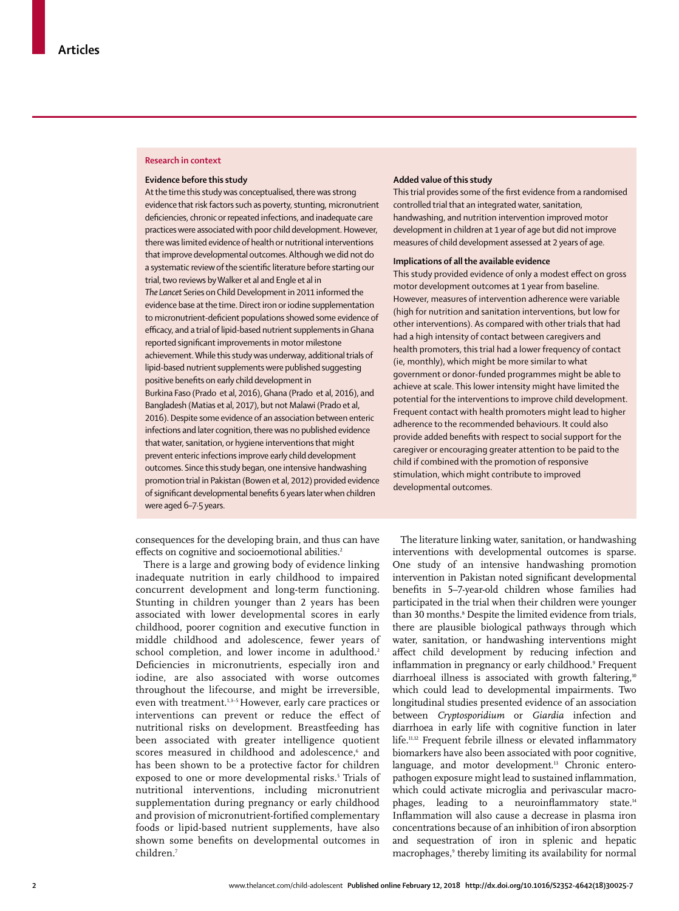#### **Research in context**

#### **Evidence before this study**

At the time this study was conceptualised, there was strong evidence that risk factors such as poverty, stunting, micronutrient deficiencies, chronic or repeated infections, and inadequate care practices were associated with poor child development. However, there was limited evidence of health or nutritional interventions that improve developmental outcomes. Although we did not do a systematic review of the scientific literature before starting our trial, two reviews by Walker et al and Engle et al in *The Lancet* Series on Child Development in 2011 informed the evidence base at the time. Direct iron or iodine supplementation to micronutrient-deficient populations showed some evidence of efficacy, and a trial of lipid-based nutrient supplements in Ghana reported significant improvements in motor milestone achievement. While this study was underway, additional trials of lipid-based nutrient supplements were published suggesting positive benefits on early child development in Burkina Faso (Prado et al, 2016), Ghana (Prado et al, 2016), and Bangladesh (Matias et al, 2017), but not Malawi (Prado et al, 2016). Despite some evidence of an association between enteric infections and later cognition, there was no published evidence that water, sanitation, or hygiene interventions that might prevent enteric infections improve early child development outcomes. Since this study began, one intensive handwashing promotion trial in Pakistan (Bowen et al, 2012) provided evidence of significant developmental benefits 6 years later when children were aged 6–7·5 years.

#### **Added value of this study**

This trial provides some of the first evidence from a randomised controlled trial that an integrated water, sanitation, handwashing, and nutrition intervention improved motor development in children at 1 year of age but did not improve measures of child development assessed at 2 years of age.

#### **Implications of all the available evidence**

This study provided evidence of only a modest effect on gross motor development outcomes at 1 year from baseline. However, measures of intervention adherence were variable (high for nutrition and sanitation interventions, but low for other interventions). As compared with other trials that had had a high intensity of contact between caregivers and health promoters, this trial had a lower frequency of contact (ie, monthly), which might be more similar to what government or donor-funded programmes might be able to achieve at scale. This lower intensity might have limited the potential for the interventions to improve child development. Frequent contact with health promoters might lead to higher adherence to the recommended behaviours. It could also provide added benefits with respect to social support for the caregiver or encouraging greater attention to be paid to the child if combined with the promotion of responsive stimulation, which might contribute to improved developmental outcomes.

consequences for the developing brain, and thus can have effects on cognitive and socioemotional abilities.<sup>2</sup>

There is a large and growing body of evidence linking inadequate nutrition in early childhood to impaired concurrent development and long-term functioning. Stunting in children younger than 2 years has been associated with lower developmental scores in early childhood, poorer cognition and executive function in middle childhood and adolescence, fewer years of school completion, and lower income in adulthood.<sup>2</sup> Deficiencies in micronutrients, especially iron and iodine, are also associated with worse outcomes throughout the lifecourse, and might be irreversible, even with treatment.<sup>1,3-5</sup> However, early care practices or interventions can prevent or reduce the effect of nutritional risks on development. Breastfeeding has been associated with greater intelligence quotient scores measured in childhood and adolescence,<sup>6</sup> and has been shown to be a protective factor for children exposed to one or more developmental risks.<sup>5</sup> Trials of nutritional interventions, including micronutrient supplementation during pregnancy or early childhood and provision of micronutrient-fortified complementary foods or lipid-based nutrient supplements, have also shown some benefits on developmental outcomes in children.7

The literature linking water, sanitation, or handwashing interventions with developmental outcomes is sparse. One study of an intensive handwashing promotion intervention in Pakistan noted significant developmental benefits in 5–7-year-old children whose families had participated in the trial when their children were younger than 30 months.<sup>8</sup> Despite the limited evidence from trials, there are plausible biological pathways through which water, sanitation, or handwashing interventions might affect child development by reducing infection and inflammation in pregnancy or early childhood.9 Frequent diarrhoeal illness is associated with growth faltering,<sup>10</sup> which could lead to developmental impairments. Two longitudinal studies presented evidence of an association between *Cryptosporidium* or *Giardia* infection and diarrhoea in early life with cognitive function in later life.11,12 Frequent febrile illness or elevated inflammatory biomarkers have also been associated with poor cognitive, language, and motor development.<sup>13</sup> Chronic enteropathogen exposure might lead to sustained inflammation, which could activate microglia and perivascular macrophages, leading to a neuroinflammatory state.<sup>14</sup> Inflammation will also cause a decrease in plasma iron concentrations because of an inhibition of iron absorption and sequestration of iron in splenic and hepatic macrophages,<sup>9</sup> thereby limiting its availability for normal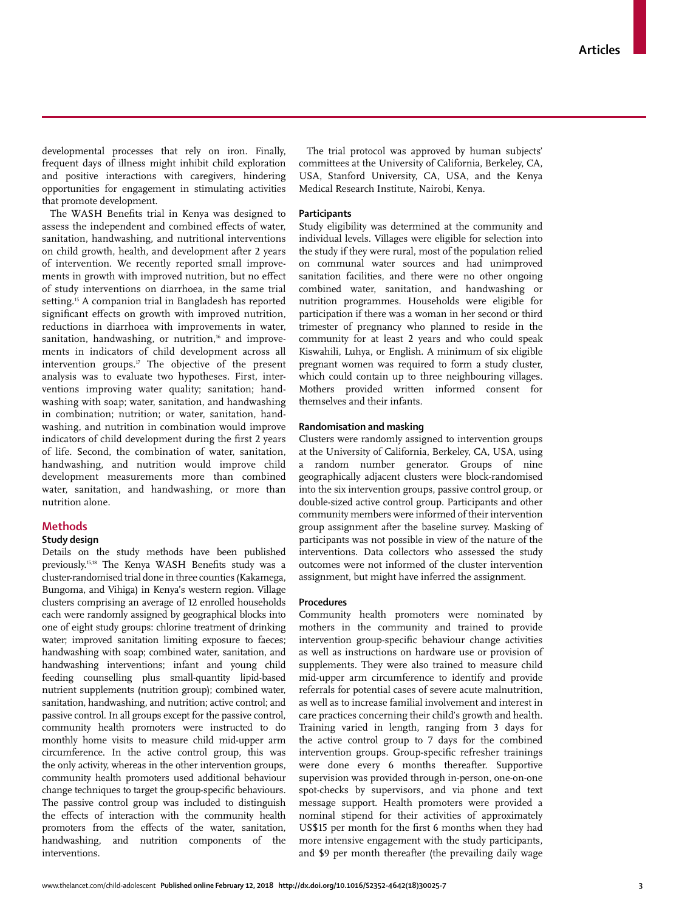developmental processes that rely on iron. Finally, frequent days of illness might inhibit child exploration and positive interactions with caregivers, hindering opportunities for engagement in stimulating activities that promote development.

The WASH Benefits trial in Kenya was designed to assess the independent and combined effects of water, sanitation, handwashing, and nutritional interventions on child growth, health, and development after 2 years of intervention. We recently reported small improvements in growth with improved nutrition, but no effect of study interventions on diarrhoea, in the same trial setting.<sup>15</sup> A companion trial in Bangladesh has reported significant effects on growth with improved nutrition, reductions in diarrhoea with improvements in water, sanitation, handwashing, or nutrition,<sup>16</sup> and improvements in indicators of child development across all intervention groups. $17$  The objective of the present analysis was to evaluate two hypotheses. First, interventions improving water quality; sanitation; handwashing with soap; water, sanitation, and handwashing in combination; nutrition; or water, sanitation, handwashing, and nutrition in combination would improve indicators of child development during the first 2 years of life. Second, the combination of water, sanitation, handwashing, and nutrition would improve child development measurements more than combined water, sanitation, and handwashing, or more than nutrition alone.

## **Methods**

## **Study design**

Details on the study methods have been published previously.15,18 The Kenya WASH Benefits study was a cluster-randomised trial done in three counties (Kakamega, Bungoma, and Vihiga) in Kenya's western region. Village clusters comprising an average of 12 enrolled households each were randomly assigned by geographical blocks into one of eight study groups: chlorine treatment of drinking water; improved sanitation limiting exposure to faeces; handwashing with soap; combined water, sanitation, and handwashing interventions; infant and young child feeding counselling plus small-quantity lipid-based nutrient supplements (nutrition group); combined water, sanitation, handwashing, and nutrition; active control; and passive control. In all groups except for the passive control, community health promoters were instructed to do monthly home visits to measure child mid-upper arm circumference. In the active control group, this was the only activity, whereas in the other intervention groups, community health promoters used additional behaviour change techniques to target the group-specific behaviours. The passive control group was included to distinguish the effects of interaction with the community health promoters from the effects of the water, sanitation, handwashing, and nutrition components of the interventions.

The trial protocol was approved by human subjects' committees at the University of California, Berkeley, CA, USA, Stanford University, CA, USA, and the Kenya Medical Research Institute, Nairobi, Kenya.

#### **Participants**

Study eligibility was determined at the community and individual levels. Villages were eligible for selection into the study if they were rural, most of the population relied on communal water sources and had unimproved sanitation facilities, and there were no other ongoing combined water, sanitation, and handwashing or nutrition programmes. Households were eligible for participation if there was a woman in her second or third trimester of pregnancy who planned to reside in the community for at least 2 years and who could speak Kiswahili, Luhya, or English. A minimum of six eligible pregnant women was required to form a study cluster, which could contain up to three neighbouring villages. Mothers provided written informed consent for themselves and their infants.

## **Randomisation and masking**

Clusters were randomly assigned to intervention groups at the University of California, Berkeley, CA, USA, using a random number generator. Groups of nine geographically adjacent clusters were block-randomised into the six intervention groups, passive control group, or double-sized active control group. Participants and other community members were informed of their intervention group assignment after the baseline survey. Masking of participants was not possible in view of the nature of the interventions. Data collectors who assessed the study outcomes were not informed of the cluster intervention assignment, but might have inferred the assignment.

#### **Procedures**

Community health promoters were nominated by mothers in the community and trained to provide intervention group-specific behaviour change activities as well as instructions on hardware use or provision of supplements. They were also trained to measure child mid-upper arm circumference to identify and provide referrals for potential cases of severe acute malnutrition, as well as to increase familial involvement and interest in care practices concerning their child's growth and health. Training varied in length, ranging from 3 days for the active control group to 7 days for the combined intervention groups. Group-specific refresher trainings were done every 6 months thereafter. Supportive supervision was provided through in-person, one-on-one spot-checks by supervisors, and via phone and text message support. Health promoters were provided a nominal stipend for their activities of approximately US\$15 per month for the first 6 months when they had more intensive engagement with the study participants, and \$9 per month thereafter (the prevailing daily wage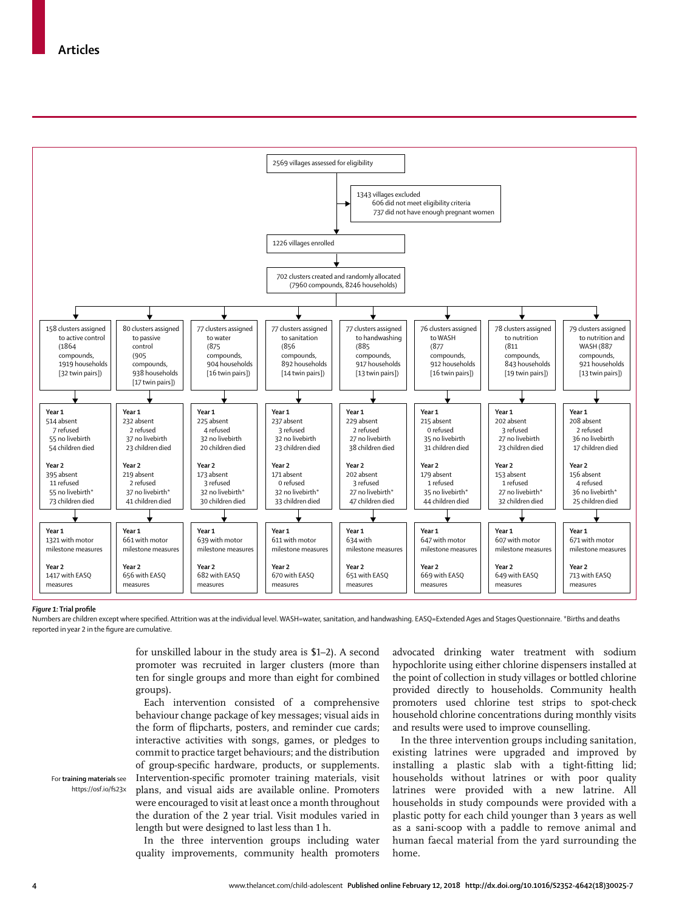

#### *Figure 1:* **Trial profile**

Numbers are children except where specified. Attrition was at the individual level. WASH=water, sanitation, and handwashing. EASQ=Extended Ages and Stages Questionnaire. \*Births and deaths reported in year 2 in the figure are cumulative.

> for unskilled labour in the study area is \$1–2). A second promoter was recruited in larger clusters (more than ten for single groups and more than eight for combined groups).

> Each intervention consisted of a comprehensive behaviour change package of key messages; visual aids in the form of flipcharts, posters, and reminder cue cards; interactive activities with songs, games, or pledges to commit to practice target behaviours; and the distribution of group-specific hardware, products, or supplements. Intervention-specific promoter training materials, visit plans, and visual aids are available online. Promoters were encouraged to visit at least once a month throughout the duration of the 2 year trial. Visit modules varied in length but were designed to last less than 1 h.

> In the three intervention groups including water quality improvements, community health promoters

advocated drinking water treatment with sodium hypochlorite using either chlorine dispensers installed at the point of collection in study villages or bottled chlorine provided directly to households. Community health promoters used chlorine test strips to spot-check household chlorine concentrations during monthly visits and results were used to improve counselling.

In the three intervention groups including sanitation, existing latrines were upgraded and improved by installing a plastic slab with a tight-fitting lid; households without latrines or with poor quality latrines were provided with a new latrine. All households in study compounds were provided with a plastic potty for each child younger than 3 years as well as a sani-scoop with a paddle to remove animal and human faecal material from the yard surrounding the home.

For **training materials** see https://osf.io/fs23x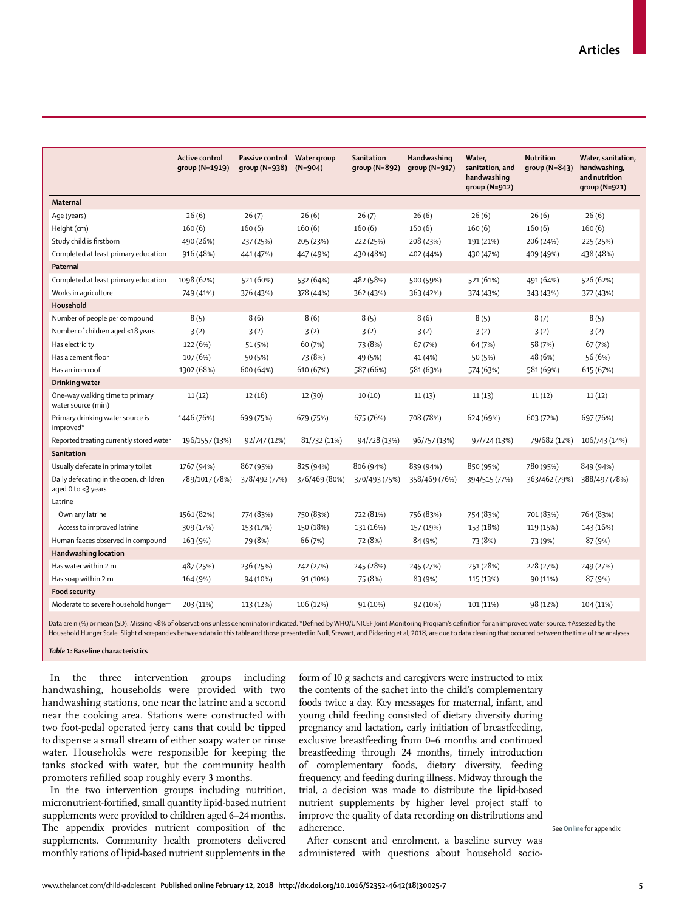|                                                              | <b>Active control</b><br>group (N=1919) | Passive control<br>$qroup(N=938)$ | Water group<br>$(N=904)$ | <b>Sanitation</b><br>group $(N=892)$ | Handwashing<br>group (N=917) | Water,<br>sanitation, and<br>handwashing<br>group (N=912) | <b>Nutrition</b><br>group $(N=843)$ | Water, sanitation,<br>handwashing,<br>and nutrition<br>$qroup (N=921)$ |
|--------------------------------------------------------------|-----------------------------------------|-----------------------------------|--------------------------|--------------------------------------|------------------------------|-----------------------------------------------------------|-------------------------------------|------------------------------------------------------------------------|
| Maternal                                                     |                                         |                                   |                          |                                      |                              |                                                           |                                     |                                                                        |
| Age (years)                                                  | 26(6)                                   | 26(7)                             | 26(6)                    | 26(7)                                | 26(6)                        | 26(6)                                                     | 26(6)                               | 26(6)                                                                  |
| Height (cm)                                                  | 160(6)                                  | 160(6)                            | 160(6)                   | 160(6)                               | 160(6)                       | 160(6)                                                    | 160(6)                              | 160(6)                                                                 |
| Study child is firstborn                                     | 490 (26%)                               | 237 (25%)                         | 205 (23%)                | 222 (25%)                            | 208 (23%)                    | 191 (21%)                                                 | 206 (24%)                           | 225 (25%)                                                              |
| Completed at least primary education                         | 916 (48%)                               | 441 (47%)                         | 447 (49%)                | 430 (48%)                            | 402 (44%)                    | 430 (47%)                                                 | 409 (49%)                           | 438 (48%)                                                              |
| Paternal                                                     |                                         |                                   |                          |                                      |                              |                                                           |                                     |                                                                        |
| Completed at least primary education                         | 1098 (62%)                              | 521 (60%)                         | 532 (64%)                | 482 (58%)                            | 500 (59%)                    | 521 (61%)                                                 | 491 (64%)                           | 526 (62%)                                                              |
| Works in agriculture                                         | 749 (41%)                               | 376 (43%)                         | 378 (44%)                | 362 (43%)                            | 363 (42%)                    | 374 (43%)                                                 | 343 (43%)                           | 372 (43%)                                                              |
| Household                                                    |                                         |                                   |                          |                                      |                              |                                                           |                                     |                                                                        |
| Number of people per compound                                | 8(5)                                    | 8(6)                              | 8(6)                     | 8(5)                                 | 8(6)                         | 8(5)                                                      | 8(7)                                | 8(5)                                                                   |
| Number of children aged <18 years                            | 3(2)                                    | 3(2)                              | 3(2)                     | 3(2)                                 | 3(2)                         | 3(2)                                                      | 3(2)                                | 3(2)                                                                   |
| Has electricity                                              | 122 (6%)                                | 51 (5%)                           | 60 (7%)                  | 73 (8%)                              | 67 (7%)                      | 64 (7%)                                                   | 58 (7%)                             | 67 (7%)                                                                |
| Has a cement floor                                           | 107 (6%)                                | 50 (5%)                           | 73 (8%)                  | 49 (5%)                              | 41 (4%)                      | 50 (5%)                                                   | 48 (6%)                             | 56 (6%)                                                                |
| Has an iron roof                                             | 1302 (68%)                              | 600 (64%)                         | 610 (67%)                | 587 (66%)                            | 581 (63%)                    | 574 (63%)                                                 | 581 (69%)                           | 615 (67%)                                                              |
| Drinking water                                               |                                         |                                   |                          |                                      |                              |                                                           |                                     |                                                                        |
| One-way walking time to primary<br>water source (min)        | 11(12)                                  | 12(16)                            | 12 (30)                  | 10(10)                               | 11(13)                       | 11(13)                                                    | 11(12)                              | 11(12)                                                                 |
| Primary drinking water source is<br>improved*                | 1446 (76%)                              | 699 (75%)                         | 679 (75%)                | 675 (76%)                            | 708 (78%)                    | 624 (69%)                                                 | 603 (72%)                           | 697 (76%)                                                              |
| Reported treating currently stored water                     | 196/1557 (13%)                          | 92/747 (12%)                      | 81/732 (11%)             | 94/728 (13%)                         | 96/757 (13%)                 | 97/724 (13%)                                              | 79/682 (12%)                        | 106/743 (14%)                                                          |
| Sanitation                                                   |                                         |                                   |                          |                                      |                              |                                                           |                                     |                                                                        |
| Usually defecate in primary toilet                           | 1767 (94%)                              | 867 (95%)                         | 825 (94%)                | 806 (94%)                            | 839 (94%)                    | 850 (95%)                                                 | 780 (95%)                           | 849 (94%)                                                              |
| Daily defecating in the open, children<br>aged 0 to <3 years | 789/1017 (78%)                          | 378/492 (77%)                     | 376/469 (80%)            | 370/493 (75%)                        | 358/469 (76%)                | 394/515 (77%)                                             | 363/462 (79%)                       | 388/497 (78%)                                                          |
| Latrine                                                      |                                         |                                   |                          |                                      |                              |                                                           |                                     |                                                                        |
| Own any latrine                                              | 1561 (82%)                              | 774 (83%)                         | 750 (83%)                | 722 (81%)                            | 756 (83%)                    | 754 (83%)                                                 | 701 (83%)                           | 764 (83%)                                                              |
| Access to improved latrine                                   | 309 (17%)                               | 153 (17%)                         | 150 (18%)                | 131 (16%)                            | 157 (19%)                    | 153 (18%)                                                 | 119 (15%)                           | 143 (16%)                                                              |
| Human faeces observed in compound                            | 163 (9%)                                | 79 (8%)                           | 66 (7%)                  | 72 (8%)                              | 84 (9%)                      | 73 (8%)                                                   | 73 (9%)                             | 87 (9%)                                                                |
| <b>Handwashing location</b>                                  |                                         |                                   |                          |                                      |                              |                                                           |                                     |                                                                        |
| Has water within 2 m                                         | 487 (25%)                               | 236 (25%)                         | 242 (27%)                | 245 (28%)                            | 245 (27%)                    | 251 (28%)                                                 | 228 (27%)                           | 249 (27%)                                                              |
| Has soap within 2 m                                          | 164 (9%)                                | 94 (10%)                          | 91 (10%)                 | 75 (8%)                              | 83 (9%)                      | 115 (13%)                                                 | 90 (11%)                            | 87 (9%)                                                                |
| <b>Food security</b>                                         |                                         |                                   |                          |                                      |                              |                                                           |                                     |                                                                        |
| Moderate to severe household hungert                         | 203 (11%)                               | 113 (12%)                         | 106 (12%)                | 91 (10%)                             | 92 (10%)                     | 101 (11%)                                                 | 98 (12%)                            | 104 (11%)                                                              |

Data are n (%) or mean (SD). Missing *<*8% of observations unless denominator indicated. \*Defined by WHO/UNICEF Joint Monitoring Program's definition for an improved water source. †Assessed by the Household Hunger Scale. Slight discrepancies between data in this table and those presented in Null, Stewart, and Pickering et al, 2018, are due to data cleaning that occurred between the time of the analyses.

*Table 1:* **Baseline characteristics**

In the three intervention groups including handwashing, households were provided with two handwashing stations, one near the latrine and a second near the cooking area. Stations were constructed with two foot-pedal operated jerry cans that could be tipped to dispense a small stream of either soapy water or rinse water. Households were responsible for keeping the tanks stocked with water, but the community health promoters refilled soap roughly every 3 months.

In the two intervention groups including nutrition, micronutrient-fortified, small quantity lipid-based nutrient supplements were provided to children aged 6–24 months. The appendix provides nutrient composition of the supplements. Community health promoters delivered monthly rations of lipid-based nutrient supplements in the form of 10 g sachets and caregivers were instructed to mix the contents of the sachet into the child's complementary foods twice a day. Key messages for maternal, infant, and young child feeding consisted of dietary diversity during pregnancy and lactation, early initiation of breastfeeding, exclusive breastfeeding from 0–6 months and continued breastfeeding through 24 months, timely introduction of complementary foods, dietary diversity, feeding frequency, and feeding during illness. Midway through the trial, a decision was made to distribute the lipid-based nutrient supplements by higher level project staff to improve the quality of data recording on distributions and adherence.

After consent and enrolment, a baseline survey was administered with questions about household socioSee **Online** for appendix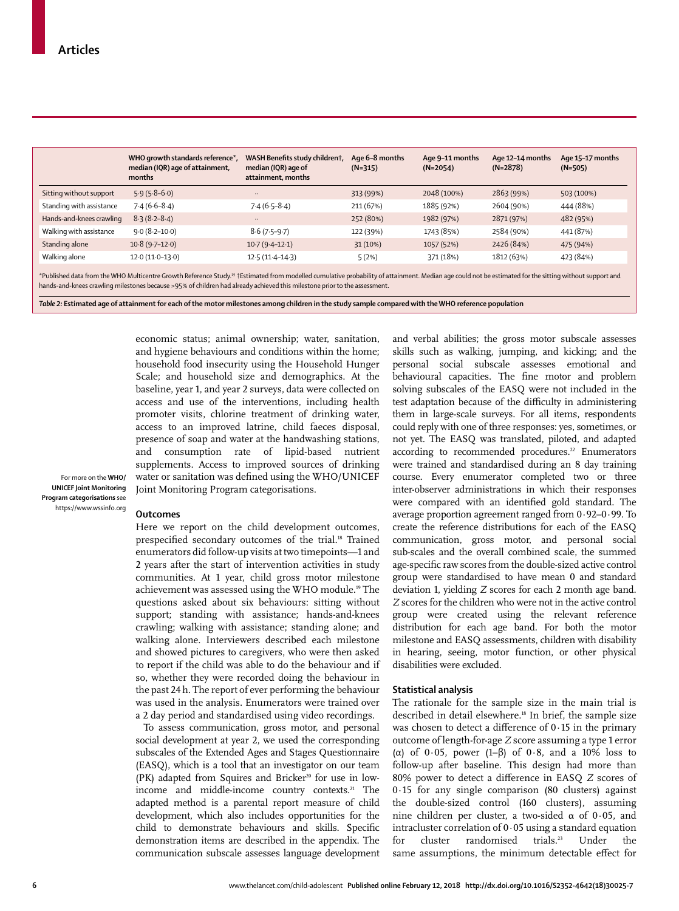|                                                                                                                                                                                                                                                                                                                                                                                                                                                                                                         | WHO growth standards reference*,<br>median (IQR) age of attainment,<br>months | WASH Benefits study childrent,<br>median (IQR) age of<br>attainment, months | Age 6-8 months<br>$(N=315)$ | Age 9-11 months<br>$(N=2054)$ | Age 12-14 months<br>$(N=2878)$ | Age 15-17 months<br>$(N=505)$ |
|---------------------------------------------------------------------------------------------------------------------------------------------------------------------------------------------------------------------------------------------------------------------------------------------------------------------------------------------------------------------------------------------------------------------------------------------------------------------------------------------------------|-------------------------------------------------------------------------------|-----------------------------------------------------------------------------|-----------------------------|-------------------------------|--------------------------------|-------------------------------|
| Sitting without support                                                                                                                                                                                                                                                                                                                                                                                                                                                                                 | $5.9(5.8-6.0)$                                                                | $\cdot$                                                                     | 313 (99%)                   | 2048 (100%)                   | 2863 (99%)                     | 503 (100%)                    |
| Standing with assistance                                                                                                                                                                                                                                                                                                                                                                                                                                                                                | $7.4(6.6-8.4)$                                                                | $7.4(6.5-8.4)$                                                              | 211 (67%)                   | 1885 (92%)                    | 2604 (90%)                     | 444 (88%)                     |
| Hands-and-knees crawling                                                                                                                                                                                                                                                                                                                                                                                                                                                                                | $8.3(8.2 - 8.4)$                                                              | $\cdot$                                                                     | 252 (80%)                   | 1982 (97%)                    | 2871 (97%)                     | 482 (95%)                     |
| Walking with assistance                                                                                                                                                                                                                                                                                                                                                                                                                                                                                 | $9.0(8.2 - 10.0)$                                                             | $8.6(7.5-9.7)$                                                              | 122 (39%)                   | 1743 (85%)                    | 2584 (90%)                     | 441 (87%)                     |
| Standing alone                                                                                                                                                                                                                                                                                                                                                                                                                                                                                          | $10.8(9.7-12.0)$                                                              | $10.7(9.4-12.1)$                                                            | 31(10%)                     | 1057 (52%)                    | 2426 (84%)                     | 475 (94%)                     |
| Walking alone                                                                                                                                                                                                                                                                                                                                                                                                                                                                                           | $12.0(11.0-13.0)$                                                             | $12.5(11.4 - 14.3)$                                                         | 5(2%)                       | 371 (18%)                     | 1812 (63%)                     | 423 (84%)                     |
| *Published data from the WHO Multicentre Growth Reference Study. <sup>19</sup> †Estimated from modelled cumulative probability of attainment. Median age could not be estimated for the sitting without support and<br>hands-and-knees crawling milestones because >95% of children had already achieved this milestone prior to the assessment.<br>Table 2: Estimated age of attainment for each of the motor milestones among children in the study sample compared with the WHO reference population |                                                                               |                                                                             |                             |                               |                                |                               |

economic status; animal ownership; water, sanitation, and hygiene behaviours and conditions within the home; household food insecurity using the Household Hunger Scale; and household size and demographics. At the baseline, year 1, and year 2 surveys, data were collected on access and use of the interventions, including health promoter visits, chlorine treatment of drinking water, access to an improved latrine, child faeces disposal, presence of soap and water at the handwashing stations, and consumption rate of lipid-based nutrient supplements. Access to improved sources of drinking water or sanitation was defined using the WHO/UNICEF Joint Monitoring Program categorisations.

For more on the **WHO/ UNICEF Joint Monitoring Program categorisations** see https://www.wssinfo.org

## **Outcomes**

Here we report on the child development outcomes, prespecified secondary outcomes of the trial.<sup>18</sup> Trained enumerators did follow-up visits at two timepoints—1 and 2 years after the start of intervention activities in study communities. At 1 year, child gross motor milestone achievement was assessed using the WHO module.19 The questions asked about six behaviours: sitting without support; standing with assistance; hands-and-knees crawling; walking with assistance; standing alone; and walking alone. Interviewers described each milestone and showed pictures to caregivers, who were then asked to report if the child was able to do the behaviour and if so, whether they were recorded doing the behaviour in the past 24 h. The report of ever performing the behaviour was used in the analysis. Enumerators were trained over a 2 day period and standardised using video recordings.

To assess communication, gross motor, and personal social development at year 2, we used the corresponding subscales of the Extended Ages and Stages Questionnaire (EASQ), which is a tool that an investigator on our team  $(PK)$  adapted from Squires and Bricker<sup>20</sup> for use in lowincome and middle-income country contexts.<sup>21</sup> The adapted method is a parental report measure of child development, which also includes opportunities for the child to demonstrate behaviours and skills. Specific demonstration items are described in the appendix. The communication subscale assesses language development and verbal abilities; the gross motor subscale assesses skills such as walking, jumping, and kicking; and the personal social subscale assesses emotional and behavioural capacities. The fine motor and problem solving subscales of the EASQ were not included in the test adaptation because of the difficulty in administering them in large-scale surveys. For all items, respondents could reply with one of three responses: yes, sometimes, or not yet. The EASQ was translated, piloted, and adapted according to recommended procedures.<sup>22</sup> Enumerators were trained and standardised during an 8 day training course. Every enumerator completed two or three inter-observer administrations in which their responses were compared with an identified gold standard. The average proportion agreement ranged from 0·92–0·99. To create the reference distributions for each of the EASQ communication, gross motor, and personal social sub-scales and the overall combined scale, the summed age-specific raw scores from the double-sized active control group were standardised to have mean 0 and standard deviation 1, yielding *Z* scores for each 2 month age band. *Z* scores for the children who were not in the active control group were created using the relevant reference distribution for each age band. For both the motor milestone and EASQ assessments, children with disability in hearing, seeing, motor function, or other physical disabilities were excluded.

#### **Statistical analysis**

The rationale for the sample size in the main trial is described in detail elsewhere.<sup>18</sup> In brief, the sample size was chosen to detect a difference of 0·15 in the primary outcome of length-for-age *Z* score assuming a type 1 error (α) of 0·05, power (1–β) of 0·8, and a 10% loss to follow-up after baseline. This design had more than 80% power to detect a difference in EASQ *Z* scores of 0·15 for any single comparison (80 clusters) against the double-sized control (160 clusters), assuming nine children per cluster, a two-sided α of 0·05, and intracluster correlation of 0·05 using a standard equation for cluster randomised trials.<sup>23</sup> Under the same assumptions, the minimum detectable effect for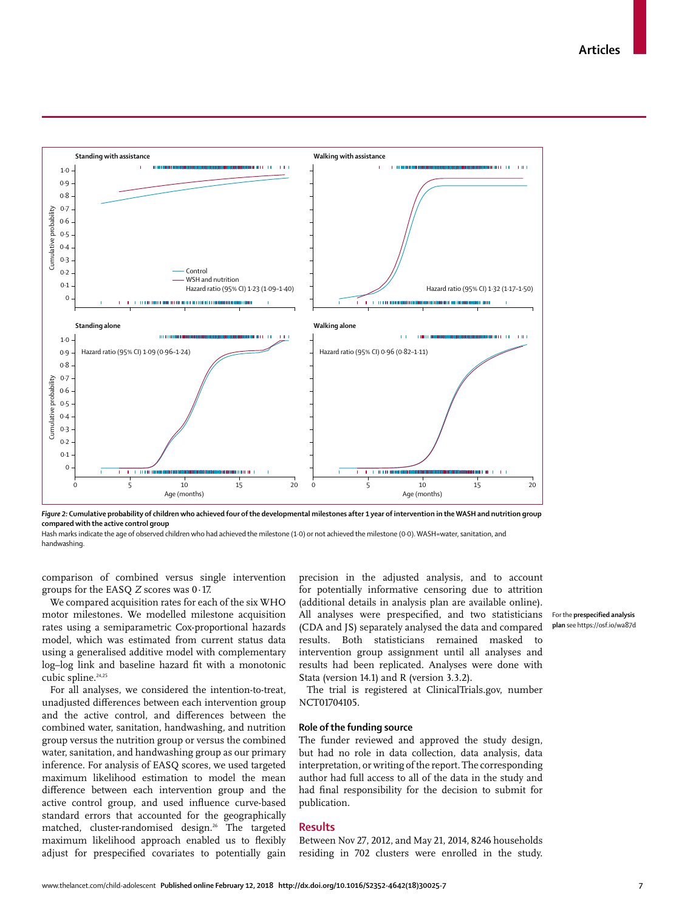

*Figure 2:* **Cumulative probability of children who achieved four of the developmental milestones after 1 year of intervention in the WASH and nutrition group compared with the active control group**

Hash marks indicate the age of observed children who had achieved the milestone (1·0) or not achieved the milestone (0·0). WASH=water, sanitation, and handwashing.

comparison of combined versus single intervention groups for the EASQ *Z* scores was 0·17.

We compared acquisition rates for each of the six WHO motor milestones. We modelled milestone acquisition rates using a semiparametric Cox-proportional hazards model, which was estimated from current status data using a generalised additive model with complementary log–log link and baseline hazard fit with a monotonic cubic spline.<sup>24,25</sup>

For all analyses, we considered the intention-to-treat, unadjusted differences between each intervention group and the active control, and differences between the combined water, sanitation, handwashing, and nutrition group versus the nutrition group or versus the combined water, sanitation, and handwashing group as our primary inference. For analysis of EASQ scores, we used targeted maximum likelihood estimation to model the mean difference between each intervention group and the active control group, and used influence curve-based standard errors that accounted for the geographically matched, cluster-randomised design.<sup>26</sup> The targeted maximum likelihood approach enabled us to flexibly adjust for prespecified covariates to potentially gain precision in the adjusted analysis, and to account for potentially informative censoring due to attrition (additional details in analysis plan are available online). All analyses were prespecified, and two statisticians (CDA and JS) separately analysed the data and compared results. Both statisticians remained masked to intervention group assignment until all analyses and results had been replicated. Analyses were done with Stata (version 14.1) and R (version 3.3.2).

The trial is registered at ClinicalTrials.gov, number NCT01704105.

## **Role of the funding source**

The funder reviewed and approved the study design, but had no role in data collection, data analysis, data interpretation, or writing of the report. The corresponding author had full access to all of the data in the study and had final responsibility for the decision to submit for publication.

#### **Results**

Between Nov 27, 2012, and May 21, 2014, 8246 households residing in 702 clusters were enrolled in the study. For the **prespecified analysis plan** see https://osf.io/wa87d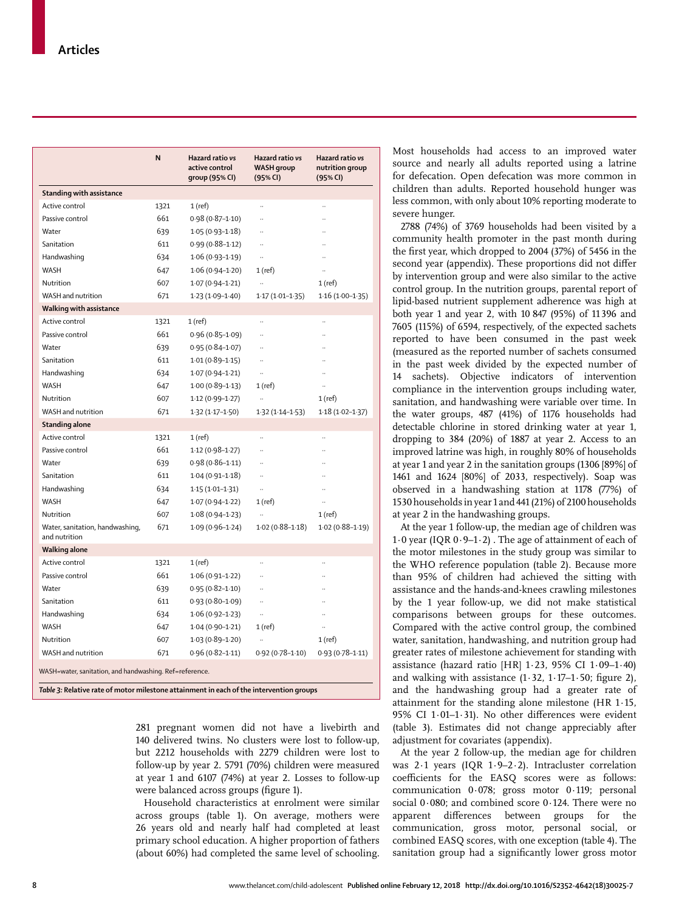|                                                         | N    | Hazard ratio vs<br>active control<br>group (95% CI) | Hazard ratio vs<br><b>WASH</b> group<br>(95% CI) | Hazard ratio vs<br>nutrition group<br>(95% CI) |  |  |
|---------------------------------------------------------|------|-----------------------------------------------------|--------------------------------------------------|------------------------------------------------|--|--|
| <b>Standing with assistance</b>                         |      |                                                     |                                                  |                                                |  |  |
| Active control                                          | 1321 | 1(ref)                                              | $\ddotsc$                                        | $\ddotsc$                                      |  |  |
| Passive control                                         | 661  | $0.98(0.87 - 1.10)$                                 | $\ddotsc$                                        |                                                |  |  |
| Water                                                   | 639  | $1.05(0.93 - 1.18)$                                 | $\ddotsc$                                        |                                                |  |  |
| Sanitation                                              | 611  | $0.99(0.88 - 1.12)$                                 |                                                  |                                                |  |  |
| Handwashing                                             | 634  | $1.06(0.93 - 1.19)$                                 |                                                  |                                                |  |  |
| <b>WASH</b>                                             | 647  | $1.06(0.94 - 1.20)$                                 | 1 (ref)                                          |                                                |  |  |
| Nutrition                                               | 607  | $1.07(0.94-1.21)$                                   | $\ddot{\phantom{a}}$                             | $1$ (ref)                                      |  |  |
| WASH and nutrition                                      | 671  | $1.23(1.09-1.40)$                                   | $1.17(1.01-1.35)$                                | $1.16(1.00-1.35)$                              |  |  |
| Walking with assistance                                 |      |                                                     |                                                  |                                                |  |  |
| Active control                                          | 1321 | $1$ (ref)                                           | $\ddotsc$                                        | $\ddot{\phantom{a}}$                           |  |  |
| Passive control                                         | 661  | $0.96(0.85 - 1.09)$                                 | $\ddot{\phantom{a}}$                             |                                                |  |  |
| Water                                                   | 639  | $0.95(0.84 - 1.07)$                                 | $\ddotsc$                                        |                                                |  |  |
| Sanitation                                              | 611  | $1.01(0.89-1.15)$                                   | $\ddotsc$                                        |                                                |  |  |
| Handwashing                                             | 634  | $1.07(0.94 - 1.21)$                                 |                                                  |                                                |  |  |
| <b>WASH</b>                                             | 647  | $1.00(0.89 - 1.13)$                                 | 1 (ref)                                          | ä,                                             |  |  |
| Nutrition                                               | 607  | $1.12(0.99 - 1.27)$                                 |                                                  | $1$ (ref)                                      |  |  |
| WASH and nutrition                                      | 671  | $1.32(1.17 - 1.50)$                                 | $1.32(1.14-1.53)$                                | $1.18(1.02 - 1.37)$                            |  |  |
| <b>Standing alone</b>                                   |      |                                                     |                                                  |                                                |  |  |
| Active control                                          | 1321 | $1$ (ref)                                           |                                                  |                                                |  |  |
| Passive control                                         | 661  | $1.12(0.98-1.27)$                                   |                                                  |                                                |  |  |
| Water                                                   | 639  | $0.98(0.86 - 1.11)$                                 |                                                  |                                                |  |  |
| Sanitation                                              | 611  | $1.04(0.91 - 1.18)$                                 |                                                  |                                                |  |  |
| Handwashing                                             | 634  | $1.15(1.01-1.31)$                                   |                                                  |                                                |  |  |
| <b>WASH</b>                                             | 647  | $1.07(0.94 - 1.22)$                                 | 1(ref)                                           | $\ddotsc$                                      |  |  |
| Nutrition                                               | 607  | $1.08(0.94 - 1.23)$                                 |                                                  | $1$ (ref)                                      |  |  |
| Water, sanitation, handwashing,<br>and nutrition        | 671  | $1.09(0.96 - 1.24)$                                 | $1.02(0.88 - 1.18)$                              | $1.02(0.88 - 1.19)$                            |  |  |
| <b>Walking alone</b>                                    |      |                                                     |                                                  |                                                |  |  |
| Active control                                          | 1321 | $1$ (ref)                                           |                                                  | $\ddotsc$                                      |  |  |
| Passive control                                         | 661  | $1.06(0.91 - 1.22)$                                 | $\ddotsc$                                        |                                                |  |  |
| Water                                                   | 639  | $0.95(0.82 - 1.10)$                                 | $\ddotsc$                                        |                                                |  |  |
| Sanitation                                              | 611  | $0.93(0.80 - 1.09)$                                 |                                                  |                                                |  |  |
| Handwashing                                             | 634  | $1.06(0.92 - 1.23)$                                 |                                                  |                                                |  |  |
| <b>WASH</b>                                             | 647  | $1.04(0.90 - 1.21)$                                 | 1 (ref)                                          |                                                |  |  |
| Nutrition                                               | 607  | $1.03(0.89 - 1.20)$                                 | $\ddot{\phantom{a}}$                             | $1$ (ref)                                      |  |  |
| WASH and nutrition                                      | 671  | $0.96(0.82 - 1.11)$                                 | $0.92(0.78 - 1.10)$                              | $0.93(0.78 - 1.11)$                            |  |  |
| WASH=water, sanitation, and handwashing. Ref=reference. |      |                                                     |                                                  |                                                |  |  |

*Table 3:* **Relative rate of motor milestone attainment in each of the intervention groups**

281 pregnant women did not have a livebirth and 140 delivered twins. No clusters were lost to follow-up, but 2212 households with 2279 children were lost to follow-up by year 2. 5791 (70%) children were measured at year 1 and 6107 (74%) at year 2. Losses to follow-up were balanced across groups (figure 1).

Household characteristics at enrolment were similar across groups (table 1). On average, mothers were 26 years old and nearly half had completed at least primary school education. A higher proportion of fathers (about 60%) had completed the same level of schooling.

Most households had access to an improved water source and nearly all adults reported using a latrine for defecation. Open defecation was more common in children than adults. Reported household hunger was less common, with only about 10% reporting moderate to severe hunger.

2788 (74%) of 3769 households had been visited by a community health promoter in the past month during the first year, which dropped to 2004 (37%) of 5456 in the second year (appendix). These proportions did not differ by intervention group and were also similar to the active control group. In the nutrition groups, parental report of lipid-based nutrient supplement adherence was high at both year 1 and year 2, with 10 847 (95%) of 11396 and 7605 (115%) of 6594, respectively, of the expected sachets reported to have been consumed in the past week (measured as the reported number of sachets consumed in the past week divided by the expected number of 14 sachets). Objective indicators of intervention compliance in the intervention groups including water, sanitation, and handwashing were variable over time. In the water groups, 487 (41%) of 1176 households had detectable chlorine in stored drinking water at year 1, dropping to 384 (20%) of 1887 at year 2. Access to an improved latrine was high, in roughly 80% of households at year 1 and year 2 in the sanitation groups (1306 [89%] of 1461 and 1624 [80%] of 2033, respectively). Soap was observed in a handwashing station at 1178 (77%) of 1530 households in year 1 and 441 (21%) of 2100 households at year 2 in the handwashing groups.

At the year 1 follow-up, the median age of children was 1 $\cdot$ 0 year (IQR 0 $\cdot$ 9-1 $\cdot$ 2). The age of attainment of each of the motor milestones in the study group was similar to the WHO reference population (table 2). Because more than 95% of children had achieved the sitting with assistance and the hands-and-knees crawling milestones by the 1 year follow-up, we did not make statistical comparisons between groups for these outcomes. Compared with the active control group, the combined water, sanitation, handwashing, and nutrition group had greater rates of milestone achievement for standing with assistance (hazard ratio [HR] 1·23, 95% CI 1·09–1·40) and walking with assistance  $(1.32, 1.17-1.50;$  figure 2), and the handwashing group had a greater rate of attainment for the standing alone milestone (HR 1·15, 95% CI 1·01–1·31). No other differences were evident (table 3). Estimates did not change appreciably after adjustment for covariates (appendix).

At the year 2 follow-up, the median age for children was 2·1 years (IQR 1·9–2·2). Intracluster correlation coefficients for the EASQ scores were as follows: communication 0·078; gross motor 0·119; personal social 0·080; and combined score 0·124. There were no apparent differences between groups for the communication, gross motor, personal social, or combined EASQ scores, with one exception (table 4). The sanitation group had a significantly lower gross motor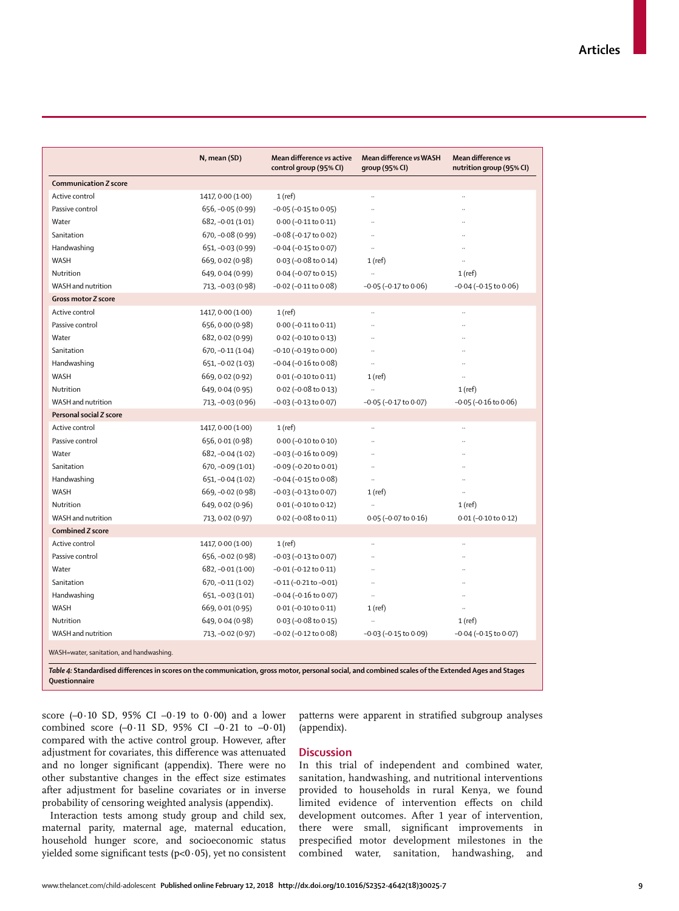|                                                                                                                                                                      | N, mean (SD)       | Mean difference vs active<br>control group (95% CI) | Mean difference vs WASH<br>group (95% CI) | Mean difference vs<br>nutrition group (95% CI) |
|----------------------------------------------------------------------------------------------------------------------------------------------------------------------|--------------------|-----------------------------------------------------|-------------------------------------------|------------------------------------------------|
| <b>Communication Z score</b>                                                                                                                                         |                    |                                                     |                                           |                                                |
| Active control                                                                                                                                                       | 1417, 0.00 (1.00)  | $1$ (ref)                                           |                                           |                                                |
| Passive control                                                                                                                                                      | 656, -0.05 (0.99)  | $-0.05$ ( $-0.15$ to $0.05$ )                       | $\ddotsc$                                 |                                                |
| Water                                                                                                                                                                | $682, -0.01(1.01)$ | $0.00 (-0.11 to 0.11)$                              |                                           |                                                |
| Sanitation                                                                                                                                                           | $670, -0.08(0.99)$ | $-0.08$ ( $-0.17$ to 0.02)                          |                                           |                                                |
| Handwashing                                                                                                                                                          | 651, -0.03 (0.99)  | $-0.04$ ( $-0.15$ to $0.07$ )                       |                                           |                                                |
| WASH                                                                                                                                                                 | 669, 0.02 (0.98)   | $0.03$ (-0.08 to 0.14)                              | $1$ (ref)                                 |                                                |
| Nutrition                                                                                                                                                            | 649, 0.04 (0.99)   | 0.04 (-0.07 to 0.15)                                |                                           | $1$ (ref)                                      |
| WASH and nutrition                                                                                                                                                   | 713, -0.03 (0.98)  | $-0.02$ ( $-0.11$ to $0.08$ )                       | $-0.05$ ( $-0.17$ to $0.06$ )             | $-0.04$ ( $-0.15$ to $0.06$ )                  |
| Gross motor Z score                                                                                                                                                  |                    |                                                     |                                           |                                                |
| Active control                                                                                                                                                       | 1417, 0.00 (1.00)  | $1$ (ref)                                           |                                           |                                                |
| Passive control                                                                                                                                                      | 656, 0.00 (0.98)   | $0.00 (-0.11 to 0.11)$                              | $\ddotsc$                                 |                                                |
| Water                                                                                                                                                                | 682, 0.02 (0.99)   | 0.02 (-0.10 to 0.13)                                |                                           |                                                |
| Sanitation                                                                                                                                                           | $670, -0.11(1.04)$ | $-0.10$ ( $-0.19$ to $0.00$ )                       |                                           |                                                |
| Handwashing                                                                                                                                                          | $651, -0.02(1.03)$ | $-0.04$ ( $-0.16$ to $0.08$ )                       | $\ddot{\phantom{a}}$                      |                                                |
| WASH                                                                                                                                                                 | 669, 0.02 (0.92)   | $0.01 (-0.10 to 0.11)$                              | $1$ (ref)                                 |                                                |
| Nutrition                                                                                                                                                            | 649, 0.04 (0.95)   | $0.02$ (-0.08 to 0.13)                              |                                           | 1(ref)                                         |
| WASH and nutrition                                                                                                                                                   | 713, -0.03 (0.96)  | $-0.03$ ( $-0.13$ to $0.07$ )                       | $-0.05$ ( $-0.17$ to $0.07$ )             | $-0.05$ ( $-0.16$ to $0.06$ )                  |
| Personal social Z score                                                                                                                                              |                    |                                                     |                                           |                                                |
| Active control                                                                                                                                                       | 1417, 0.00 (1.00)  | $1$ (ref)                                           |                                           |                                                |
| Passive control                                                                                                                                                      | 656, 0.01 (0.98)   | $0.00 (-0.10 to 0.10)$                              |                                           |                                                |
| Water                                                                                                                                                                | $682, -0.04(1.02)$ | $-0.03$ ( $-0.16$ to $0.09$ )                       |                                           |                                                |
| Sanitation                                                                                                                                                           | $670, -0.09(1.01)$ | $-0.09$ ( $-0.20$ to $0.01$ )                       | $\ddot{\phantom{a}}$                      |                                                |
| Handwashing                                                                                                                                                          | 651, -0.04 (1.02)  | $-0.04$ ( $-0.15$ to $0.08$ )                       | $\ddot{\phantom{a}}$                      |                                                |
| WASH                                                                                                                                                                 | 669, -0.02 (0.98)  | $-0.03$ ( $-0.13$ to $0.07$ )                       | $1$ (ref)                                 |                                                |
| Nutrition                                                                                                                                                            | 649, 0.02 (0.96)   | $0.01 (-0.10 to 0.12)$                              | ÷.                                        | $1$ (ref)                                      |
| WASH and nutrition                                                                                                                                                   | 713, 0.02 (0.97)   | $0.02$ (-0.08 to 0.11)                              | $0.05$ (-0.07 to 0.16)                    | $0.01 (-0.10 to 0.12)$                         |
| <b>Combined Z score</b>                                                                                                                                              |                    |                                                     |                                           |                                                |
| Active control                                                                                                                                                       | 1417, 0.00 (1.00)  | $1$ (ref)                                           |                                           |                                                |
| Passive control                                                                                                                                                      | 656, -0.02 (0.98)  | $-0.03$ ( $-0.13$ to $0.07$ )                       |                                           |                                                |
| Water                                                                                                                                                                | $682, -0.01(1.00)$ | $-0.01$ ( $-0.12$ to $0.11$ )                       |                                           |                                                |
| Sanitation                                                                                                                                                           | $670, -0.11(1.02)$ | $-0.11$ ( $-0.21$ to $-0.01$ )                      | $\ddot{\phantom{a}}$                      |                                                |
| Handwashing                                                                                                                                                          | 651, -0.03 (1.01)  | $-0.04$ ( $-0.16$ to $0.07$ )                       | $\ddot{\phantom{a}}$                      |                                                |
| WASH                                                                                                                                                                 | 669, 0.01 (0.95)   | $0.01 (-0.10 to 0.11)$                              | $1$ (ref)                                 |                                                |
| Nutrition                                                                                                                                                            | 649, 0.04 (0.98)   | 0.03 (-0.08 to 0.15)                                |                                           | $1$ (ref)                                      |
| WASH and nutrition                                                                                                                                                   | 713, -0.02 (0.97)  | $-0.02$ ( $-0.12$ to $0.08$ )                       | $-0.03$ ( $-0.15$ to $0.09$ )             | $-0.04$ ( $-0.15$ to $0.07$ )                  |
| WASH=water, sanitation, and handwashing.                                                                                                                             |                    |                                                     |                                           |                                                |
| Table 4: Standardised differences in scores on the communication, gross motor, personal social, and combined scales of the Extended Ages and Stages<br>Ouestionnaire |                    |                                                     |                                           |                                                |

score (-0·10 SD, 95% CI -0·19 to 0·00) and a lower combined score  $(-0.11 \text{ SD}, 95\% \text{ CI } -0.21 \text{ to } -0.01)$ compared with the active control group. However, after adjustment for covariates, this difference was attenuated and no longer significant (appendix). There were no other substantive changes in the effect size estimates after adjustment for baseline covariates or in inverse probability of censoring weighted analysis (appendix).

Interaction tests among study group and child sex, maternal parity, maternal age, maternal education, household hunger score, and socioeconomic status yielded some significant tests  $(p<0.05)$ , yet no consistent patterns were apparent in stratified subgroup analyses (appendix).

#### **Discussion**

In this trial of independent and combined water, sanitation, handwashing, and nutritional interventions provided to households in rural Kenya, we found limited evidence of intervention effects on child development outcomes. After 1 year of intervention, there were small, significant improvements in prespecified motor development milestones in the combined water, sanitation, handwashing, and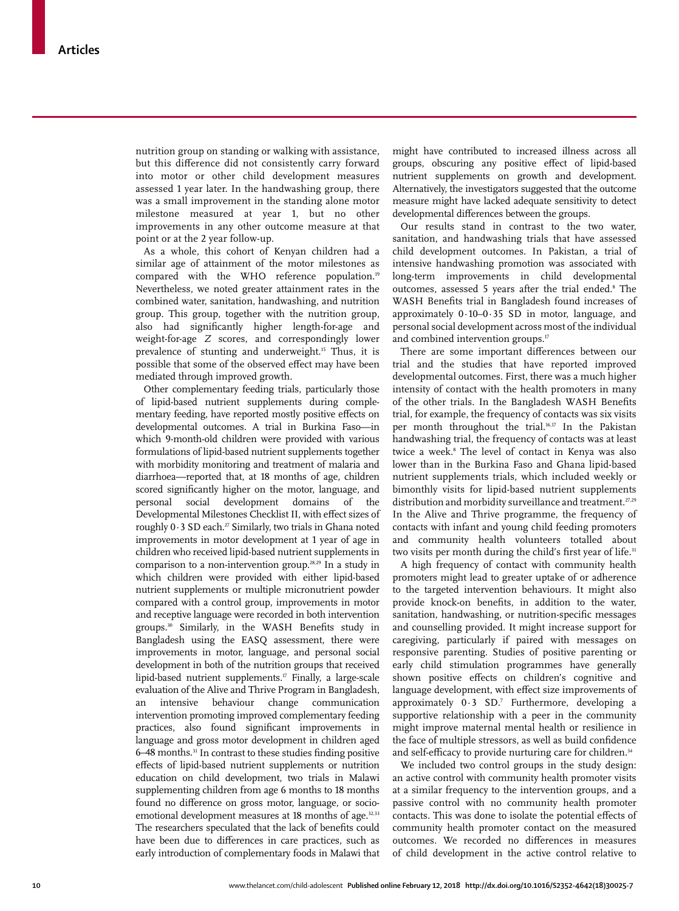nutrition group on standing or walking with assistance, but this difference did not consistently carry forward into motor or other child development measures assessed 1 year later. In the handwashing group, there was a small improvement in the standing alone motor milestone measured at year 1, but no other improvements in any other outcome measure at that point or at the 2 year follow-up.

As a whole, this cohort of Kenyan children had a similar age of attainment of the motor milestones as compared with the WHO reference population.<sup>19</sup> Nevertheless, we noted greater attainment rates in the combined water, sanitation, handwashing, and nutrition group. This group, together with the nutrition group, also had significantly higher length-for-age and weight-for-age *Z* scores, and correspondingly lower prevalence of stunting and underweight.<sup>15</sup> Thus, it is possible that some of the observed effect may have been mediated through improved growth.

Other complementary feeding trials, particularly those of lipid-based nutrient supplements during complementary feeding, have reported mostly positive effects on developmental outcomes. A trial in Burkina Faso—in which 9-month-old children were provided with various formulations of lipid-based nutrient supplements together with morbidity monitoring and treatment of malaria and diarrhoea—reported that, at 18 months of age, children scored significantly higher on the motor, language, and personal social development domains of the Developmental Milestones Checklist II, with effect sizes of roughly  $0.3$  SD each.<sup>27</sup> Similarly, two trials in Ghana noted improvements in motor development at 1 year of age in children who received lipid-based nutrient supplements in comparison to a non-intervention group.28,29 In a study in which children were provided with either lipid-based nutrient supplements or multiple micronutrient powder compared with a control group, improvements in motor and receptive language were recorded in both intervention groups.30 Similarly, in the WASH Benefits study in Bangladesh using the EASQ assessment, there were improvements in motor, language, and personal social development in both of the nutrition groups that received lipid-based nutrient supplements. $\mathbb{F}$  Finally, a large-scale evaluation of the Alive and Thrive Program in Bangladesh, an intensive behaviour change communication intervention promoting improved complementary feeding practices, also found significant improvements in language and gross motor development in children aged 6–48 months.<sup>31</sup> In contrast to these studies finding positive effects of lipid-based nutrient supplements or nutrition education on child development, two trials in Malawi supplementing children from age 6 months to 18 months found no difference on gross motor, language, or socioemotional development measures at 18 months of age.<sup>32,33</sup> The researchers speculated that the lack of benefits could have been due to differences in care practices, such as early introduction of complementary foods in Malawi that might have contributed to increased illness across all groups, obscuring any positive effect of lipid-based nutrient supplements on growth and development. Alternatively, the investigators suggested that the outcome measure might have lacked adequate sensitivity to detect developmental differences between the groups.

Our results stand in contrast to the two water, sanitation, and handwashing trials that have assessed child development outcomes. In Pakistan, a trial of intensive handwashing promotion was associated with long-term improvements in child developmental outcomes, assessed 5 years after the trial ended.<sup>8</sup> The WASH Benefits trial in Bangladesh found increases of approximately 0·10–0·35 SD in motor, language, and personal social development across most of the individual and combined intervention groups.<sup>17</sup>

There are some important differences between our trial and the studies that have reported improved developmental outcomes. First, there was a much higher intensity of contact with the health promoters in many of the other trials. In the Bangladesh WASH Benefits trial, for example, the frequency of contacts was six visits per month throughout the trial.16,17 In the Pakistan handwashing trial, the frequency of contacts was at least twice a week.8 The level of contact in Kenya was also lower than in the Burkina Faso and Ghana lipid-based nutrient supplements trials, which included weekly or bimonthly visits for lipid-based nutrient supplements distribution and morbidity surveillance and treatment.<sup>27,29</sup> In the Alive and Thrive programme, the frequency of contacts with infant and young child feeding promoters and community health volunteers totalled about two visits per month during the child's first year of life.<sup>31</sup>

A high frequency of contact with community health promoters might lead to greater uptake of or adherence to the targeted intervention behaviours. It might also provide knock-on benefits, in addition to the water, sanitation, handwashing, or nutrition-specific messages and counselling provided. It might increase support for caregiving, particularly if paired with messages on responsive parenting. Studies of positive parenting or early child stimulation programmes have generally shown positive effects on children's cognitive and language development, with effect size improvements of approximately 0.3 SD.<sup>7</sup> Furthermore, developing a supportive relationship with a peer in the community might improve maternal mental health or resilience in the face of multiple stressors, as well as build confidence and self-efficacy to provide nurturing care for children.<sup>34</sup>

We included two control groups in the study design: an active control with community health promoter visits at a similar frequency to the intervention groups, and a passive control with no community health promoter contacts. This was done to isolate the potential effects of community health promoter contact on the measured outcomes. We recorded no differences in measures of child development in the active control relative to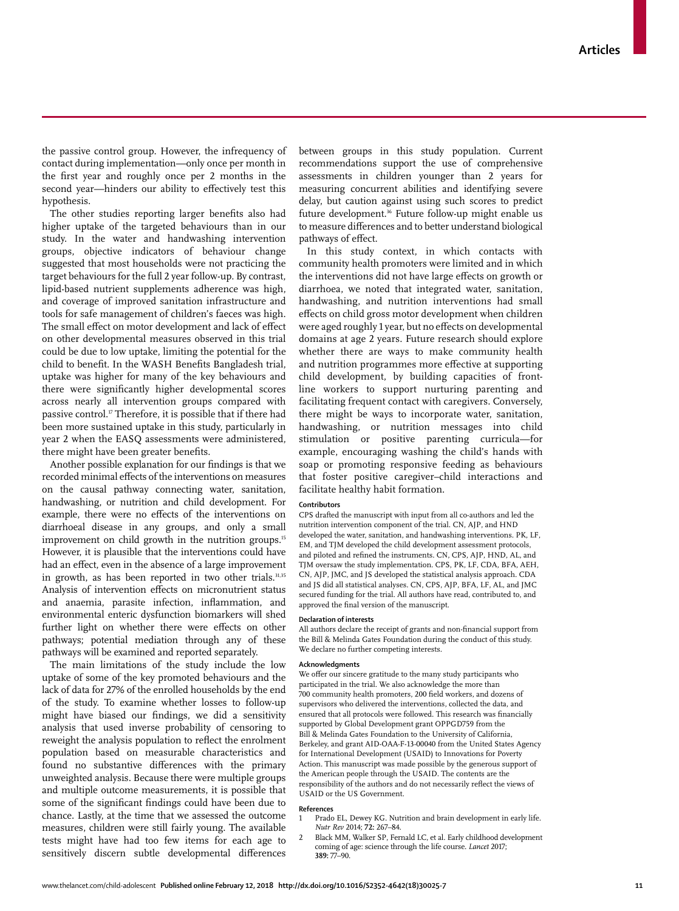the passive control group. However, the infrequency of contact during implementation—only once per month in the first year and roughly once per 2 months in the second year—hinders our ability to effectively test this hypothesis.

The other studies reporting larger benefits also had higher uptake of the targeted behaviours than in our study. In the water and handwashing intervention groups, objective indicators of behaviour change suggested that most households were not practicing the target behaviours for the full 2 year follow-up. By contrast, lipid-based nutrient supplements adherence was high, and coverage of improved sanitation infrastructure and tools for safe management of children's faeces was high. The small effect on motor development and lack of effect on other developmental measures observed in this trial could be due to low uptake, limiting the potential for the child to benefit. In the WASH Benefits Bangladesh trial, uptake was higher for many of the key behaviours and there were significantly higher developmental scores across nearly all intervention groups compared with passive control.<sup>17</sup> Therefore, it is possible that if there had been more sustained uptake in this study, particularly in year 2 when the EASQ assessments were administered, there might have been greater benefits.

Another possible explanation for our findings is that we recorded minimal effects of the interventions on measures on the causal pathway connecting water, sanitation, handwashing, or nutrition and child development. For example, there were no effects of the interventions on diarrhoeal disease in any groups, and only a small improvement on child growth in the nutrition groups.<sup>15</sup> However, it is plausible that the interventions could have had an effect, even in the absence of a large improvement in growth, as has been reported in two other trials.<sup>31,35</sup> Analysis of intervention effects on micronutrient status and anaemia, parasite infection, inflammation, and environmental enteric dysfunction biomarkers will shed further light on whether there were effects on other pathways; potential mediation through any of these pathways will be examined and reported separately.

The main limitations of the study include the low uptake of some of the key promoted behaviours and the lack of data for 27% of the enrolled households by the end of the study. To examine whether losses to follow-up might have biased our findings, we did a sensitivity analysis that used inverse probability of censoring to reweight the analysis population to reflect the enrolment population based on measurable characteristics and found no substantive differences with the primary unweighted analysis. Because there were multiple groups and multiple outcome measurements, it is possible that some of the significant findings could have been due to chance. Lastly, at the time that we assessed the outcome measures, children were still fairly young. The available tests might have had too few items for each age to sensitively discern subtle developmental differences between groups in this study population. Current recommendations support the use of comprehensive assessments in children younger than 2 years for measuring concurrent abilities and identifying severe delay, but caution against using such scores to predict future development.36 Future follow-up might enable us to measure differences and to better understand biological pathways of effect.

In this study context, in which contacts with community health promoters were limited and in which the interventions did not have large effects on growth or diarrhoea, we noted that integrated water, sanitation, handwashing, and nutrition interventions had small effects on child gross motor development when children were aged roughly 1 year, but no effects on developmental domains at age 2 years. Future research should explore whether there are ways to make community health and nutrition programmes more effective at supporting child development, by building capacities of frontline workers to support nurturing parenting and facilitating frequent contact with caregivers. Conversely, there might be ways to incorporate water, sanitation, handwashing, or nutrition messages into child stimulation or positive parenting curricula—for example, encouraging washing the child's hands with soap or promoting responsive feeding as behaviours that foster positive caregiver–child interactions and facilitate healthy habit formation.

#### **Contributors**

CPS drafted the manuscript with input from all co-authors and led the nutrition intervention component of the trial. CN, AJP, and HND developed the water, sanitation, and handwashing interventions. PK, LF, EM, and TJM developed the child development assessment protocols, and piloted and refined the instruments. CN, CPS, AJP, HND, AL, and TJM oversaw the study implementation. CPS, PK, LF, CDA, BFA, AEH, CN, AJP, JMC, and JS developed the statistical analysis approach. CDA and JS did all statistical analyses. CN, CPS, AJP, BFA, LF, AL, and JMC secured funding for the trial. All authors have read, contributed to, and approved the final version of the manuscript.

#### **Declaration of interests**

All authors declare the receipt of grants and non-financial support from the Bill & Melinda Gates Foundation during the conduct of this study. We declare no further competing interests.

#### **Acknowledgments**

We offer our sincere gratitude to the many study participants who participated in the trial. We also acknowledge the more than 700 community health promoters, 200 field workers, and dozens of supervisors who delivered the interventions, collected the data, and ensured that all protocols were followed. This research was financially supported by Global Development grant OPPGD759 from the Bill & Melinda Gates Foundation to the University of California, Berkeley, and grant AID-OAA-F-13-00040 from the United States Agency for International Development (USAID) to Innovations for Poverty Action. This manuscript was made possible by the generous support of the American people through the USAID. The contents are the responsibility of the authors and do not necessarily reflect the views of USAID or the US Government.

#### **References**

- Prado EL, Dewey KG. Nutrition and brain development in early life. *Nutr Rev* 2014; **72:** 267–84.
- 2 Black MM, Walker SP, Fernald LC, et al. Early childhood development coming of age: science through the life course. *Lancet* 2017; **389:** 77–90.